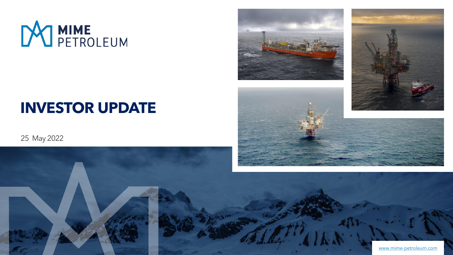

# **INVESTOR UPDATE**

## 25 May 2022





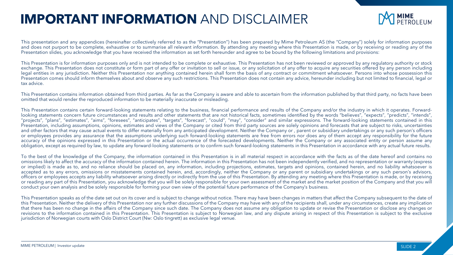## **IMPORTANT INFORMATION** AND DISCLAIMER



This presentation and any appendices (hereinafter collectively referred to as the "Presentation") has been prepared by Mime Petroleum AS (the "Company") solely for information purposes and does not purport to be complete, exhaustive or to summarise all relevant information. By attending any meeting where this Presentation is made, or by receiving or reading any of the Presentation slides, you acknowledge that you have received the information as set forth hereunder and agree to be bound by the following limitations and provisions:

This Presentation is for information purposes only and is not intended to be complete or exhaustive. This Presentation has not been reviewed or approved by any regulatory authority or stock exchange. This Presentation does not constitute or form part of any offer or invitation to sell or issue, or any solicitation of any offer to acquire any securities offered by any person including legal entities in any jurisdiction. Neither this Presentation nor anything contained herein shall form the basis of any contract or commitment whatsoever. Persons into whose possession this Presentation comes should inform themselves about and observe any such restrictions. This Presentation does not contain any advice, hereunder including but not limited to financial, legal or tax advice.

This Presentation contains information obtained from third parties. As far as the Company is aware and able to ascertain from the information published by that third party, no facts have been omitted that would render the reproduced information to be materially inaccurate or misleading.

This Presentation contains certain forward-looking statements relating to the business, financial performance and results of the Company and/or the industry in which it operates. Forwardlooking statements concern future circumstances and results and other statements that are not historical facts, sometimes identified by the words "believes", "expects", "predicts", "intends", "projects", "plans", "estimates", "aims", "foresees", "anticipates", "targets", "forecast", "could", "may", "consider" and similar expressions. The forward-looking statements contained in this Presentation, including assumptions, opinions, estimates and views of the Company or cited from third party sources are solely opinions and forecasts that are subject to risks, uncertainties and other factors that may cause actual events to differ materially from any anticipated development. Neither the Company or , parent or subsidiary undertakings or any such person's officers or employees provides any assurance that the assumptions underlying such forward-looking statements are free from errors nor does any of them accept any responsibility for the future accuracy of the opinions expressed in this Presentation or the actual occurrence of the forecasted developments. Neither the Company or any associated entity or person assume any obligation, except as required by law, to update any forward-looking statements or to confirm such forward-looking statements in this Presentation in accordance with any actual future results.

To the best of the knowledge of the Company, the information contained in this Presentation is in all material respect in accordance with the facts as of the date hereof and contains no omissions likely to affect the accuracy of the information contained herein. The information in this Presentation has not been independently verified, and no representation or warranty (express or implied) is made as to, and no reliance should be placed on, any information, including projections, estimates, targets and opinions, contained herein, and no liability whatsoever is accepted as to any errors, omissions or misstatements contained herein, and, accordingly, neither the Company or any parent or subsidiary undertakings or any such person's advisors, officers or employees accepts any liability whatsoever arising directly or indirectly from the use of this Presentation. By attending any meeting where this Presentation is made, or by receiving or reading any part of this Presentation, you acknowledge that you will be solely responsible for your own assessment of the market and the market position of the Company and that you will conduct your own analysis and be solely responsible for forming your own view of the potential future performance of the Company's business.

This Presentation speaks as of the date set out on its cover and is subject to change without notice. There may have been changes in matters that affect the Company subsequent to the date of this Presentation. Neither the delivery of this Presentation nor any further discussions of the Company may have with any of the recipients shall, under any circumstances, create any implication that there has been no change in the affairs of the Company since such date. The Company does not assume any obligation to update or revise the Presentation or disclose any changes or revisions to the information contained in this Presentation. This Presentation is subject to Norwegian law, and any dispute arising in respect of this Presentation is subject to the exclusive jurisdiction of Norwegian courts with Oslo District Court (Nw: Oslo tingrett) as exclusive legal venue.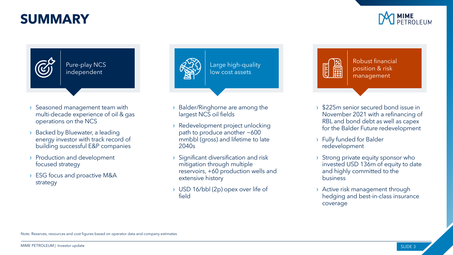## **SUMMARY**



Pure-play NCS independent

- › Seasoned management team with multi-decade experience of oil & gas operations on the NCS
- › Backed by Bluewater, a leading energy investor with track record of building successful E&P companies
- › Production and development focused strategy
- › ESG focus and proactive M&A strategy



- › Balder/Ringhorne are among the largest NCS oil fields
- › Redevelopment project unlocking path to produce another ~600 mmbbl (gross) and lifetime to late 2040s
- › Significant diversification and risk mitigation through multiple reservoirs, +60 production wells and extensive history
- › USD 16/bbl (2p) opex over life of field

E **Esse** 

Robust financial position & risk management

- › \$225m senior secured bond issue in November 2021 with a refinancing of RBL and bond debt as well as capex for the Balder Future redevelopment
- › Fully funded for Balder redevelopment
- › Strong private equity sponsor who invested USD 136m of equity to date and highly committed to the business
- › Active risk management through hedging and best-in-class insurance coverage

Note: Reserves, resources and cost figures based on operator data and company estimates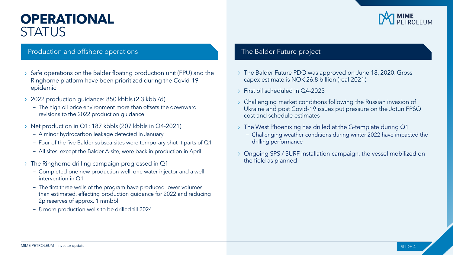## **OPERATIONAL STATUS**

#### Production and offshore operations The Balder Future project

- › Safe operations on the Balder floating production unit (FPU) and the Ringhorne platform have been prioritized during the Covid-19 epidemic
- › 2022 production guidance: 850 kbbls (2.3 kbbl/d)
	- The high oil price environment more than offsets the downward revisions to the 2022 production guidance
- › Net production in Q1: 187 kbbls (207 kbbls in Q4-2021)
	- A minor hydrocarbon leakage detected in January
	- ‒ Four of the five Balder subsea sites were temporary shut-it parts of Q1
	- ‒ All sites, except the Balder A-site, were back in production in April
- › The Ringhorne drilling campaign progressed in Q1
	- ‒ Completed one new production well, one water injector and a well intervention in Q1
	- The first three wells of the program have produced lower volumes than estimated, effecting production guidance for 2022 and reducing 2p reserves of approx. 1 mmbbl
	- 8 more production wells to be drilled till 2024

- › The Balder Future PDO was approved on June 18, 2020. Gross capex estimate is NOK 26.8 billion (real 2021).
- › First oil scheduled in Q4-2023
- Challenging market conditions following the Russian invasion of Ukraine and post Covid-19 issues put pressure on the Jotun FPSO cost and schedule estimates
- › The West Phoenix rig has drilled at the G-template during Q1
	- ‒ Challenging weather conditions during winter 2022 have impacted the drilling performance
- › Ongoing SPS / SURF installation campaign, the vessel mobilized on the field as planned

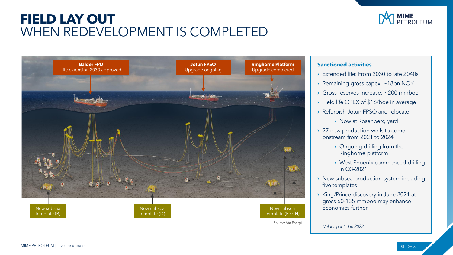## **FIELD LAY OUT**  WHEN REDEVELOPMENT IS COMPLETED





#### **Sanctioned activities**

- › Extended life: From 2030 to late 2040s
- › Remaining gross capex: ~18bn NOK
- Gross reserves increase: ~200 mmboe
- › Field life OPEX of \$16/boe in average
- › Refurbish Jotun FPSO and relocate

› Now at Rosenberg yard

- › 27 new production wells to come onstream from 2021 to 2024
	- › Ongoing drilling from the Ringhorne platform
	- › West Phoenix commenced drilling in Q3-2021
- › New subsea production system including five templates
- › King/Prince discovery in June 2021 at gross 60-135 mmboe may enhance economics further

*Values per 1 Jan 2022*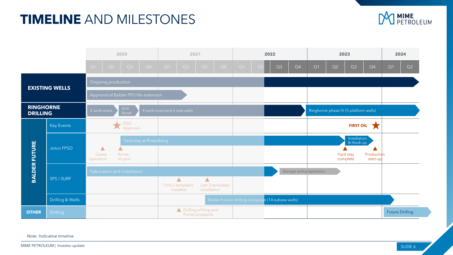## **TIMELINE** AND MILESTONES





*Note: Indicative timeline*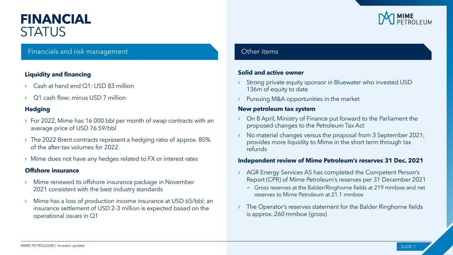## **FINANCIAL STATUS**

#### **Liquidity and financing**

- Cash at hand end Q1: USD 83 million
- Q1 cash flow: minus USD 7 million

#### **Hedging**

- › For 2022, Mime has 16 000 bbl per month of swap contracts with an average price of USD 76.59/bbl
- › The 2022 Brent contracts represent a hedging ratio of approx. 80% of the after-tax volumes for 2022.
- › Mime does not have any hedges related to FX or interest rates

#### **Offshore insurance**

- Mime renewed its offshore insurance package in November 2021 consistent with the best industry standards
- Mime has a loss of production income insurance at USD 65/bbl; an insurance settlement of USD 2-3 million is expected based on the operational issues in Q1

### Financials and risk management Contract Contract Contract Contract Contract Contract Contract Contract Contract Contract Contract Contract Contract Contract Contract Contract Contract Contract Contract Contract Contract Co

#### **Solid and active owner**

- Strong private equity sponsor in Bluewater who invested USD 136m of equity to date
- Pursuing M&A opportunities in the market

#### **New petroleum tax system**

- On 8 April, Ministry of Finance put forward to the Parliament the proposed changes to the Petroleum Tax Act
- › No material changes versus the proposal from 3 September 2021; provides more liquidity to Mime in the short term through tax refunds

#### **Independent review of Mime Petroleum's reserves 31 Dec. 2021**

- › AGR Energy Services AS has completed the Competent Person's Report (CPR) of Mime Petroleum's reserves per 31 December 2021
	- Gross reserves at the Balder/Ringhorne fields at 219 mmboe and net reserves to Mime Petroleum at 21.1 mmboe
- The Operator's reserves statement for the Balder Ringhorne fields is approx. 260 mmboe (gross)

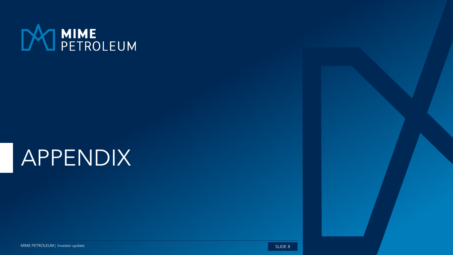

# APPENDIX

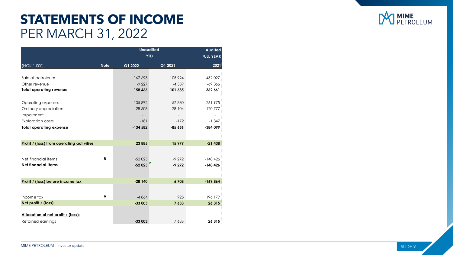## **STATEMENTS OF INCOME**  PER MARCH 31, 2022

|                                           |             | <b>Unaudited</b> | <b>Audited</b>   |           |
|-------------------------------------------|-------------|------------------|------------------|-----------|
|                                           |             | <b>YTD</b>       | <b>FULL YEAR</b> |           |
| (NOK 1 000)                               | <b>Note</b> | Q1 2022          | Q1 2021          | 2021      |
|                                           |             |                  |                  |           |
| Sale of petroleum                         |             | 167 693          | 105 994          | 432 027   |
| Other revenue                             |             | $-9227$          | $-4359$          | $-69366$  |
| <b>Total operating revenue</b>            |             | 158 466          | 101 635          | 362 661   |
|                                           |             |                  |                  |           |
| Operating expenses                        |             | $-105892$        | $-57380$         | $-261975$ |
| Ordinary depreciation                     |             | $-28,508$        | $-28104$         | $-120777$ |
| Impairment                                |             |                  |                  |           |
| <b>Exploration costs</b>                  |             | $-181$           | $-172$           | $-1347$   |
| <b>Total operating expense</b>            |             | $-134582$        | $-85656$         | -384 099  |
|                                           |             |                  |                  |           |
| Profit / (loss) from operating activities |             | 23 885           | 15 979           | $-21438$  |
|                                           |             |                  |                  |           |
| Net financial items                       | 8           | $-52025$         | $-9272$          | $-148426$ |
| <b>Net financial items</b>                |             | $-52025$         | $-9272$          | $-148426$ |
|                                           |             |                  |                  |           |
| Profit / (loss) before income tax         |             | $-28140$         | 6708             | $-169864$ |
|                                           |             |                  |                  |           |
| Income tax                                | 9           | $-4864$          | 925              | 196 179   |
| Net profit / (loss)                       |             | $-33003$         | 7 633            | 26 315    |
|                                           |             |                  |                  |           |
| Allocation of net profit / (loss):        |             |                  |                  |           |
| Retained earnings                         |             | $-33003$         | 7 633            | 26315:    |

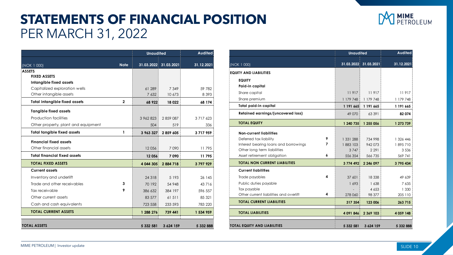## **STATEMENTS OF FINANCIAL POSITION**  PER MARCH 31, 2022



|                                      |                | <b>Unaudited</b> |                       | Audited       |
|--------------------------------------|----------------|------------------|-----------------------|---------------|
| (NOK 1 000)                          | <b>Note</b>    |                  | 31.03.2022 31.03.2021 | 31.12.2021    |
| <b>ASSETS</b>                        |                |                  |                       |               |
| <b>FIXED ASSETS</b>                  |                |                  |                       |               |
| Intangible fixed assets              |                |                  |                       |               |
| Capitalized exploration wells        |                | 61 289           | 7 3 4 9               | 59 782        |
| Other intangible assets              |                | 7 632            | 10 673                | 8 3 9 3       |
| <b>Total intangible fixed assets</b> | $\overline{2}$ | 68 922           | 18 0 22               | 68 174        |
| <b>Tangible fixed assets</b>         |                |                  |                       |               |
| Production facilities                |                | 3 962 823        | 2859087               | 3 7 1 7 6 2 3 |
| Other property, plant and equipment  |                | 504              | 519                   | 336           |
| <b>Total tangible fixed assets</b>   | 1              | 3 963 327        | 2859605               | 3717959       |
| <b>Financial fixed assets</b>        |                |                  |                       |               |
| Other financial assets               |                | 12056            | 7090                  | 11795         |
| <b>Total financial fixed assets</b>  |                | 12 056           | 7090                  | 11795         |
| <b>TOTAL FIXED ASSETS</b>            |                | 4 044 305        | 2884718               | 3797929       |
| <b>Current assets</b>                |                |                  |                       |               |
| Inventory and underlift              |                | 24 3 18          | 5 1 9 3               | 26 145        |
| Trade and other receivables          | 3              | 70 192           | 54 948                | 43716         |
| Tax receivable                       | 9              | 386 632          | 384 197               | 596 557       |
| Other current assets                 |                | 83 577           | 61 511                | 85 321        |
| Cash and cash equivalents            |                | 723 558          | 233 593               | 783 220       |
| <b>TOTAL CURRENT ASSETS</b>          |                | 1 288 276        | 739 441               | 1 534 959     |
| <b>TOTAL ASSETS</b>                  |                | 5 332 581        | 3 6 24 159            | 5 332 888     |

|                                        |   | <b>Unaudited</b> |                       | <b>Audited</b> |  |
|----------------------------------------|---|------------------|-----------------------|----------------|--|
| (NOK 1 000)                            |   |                  | 31.03.2022 31.03.2021 | 31.12.2021     |  |
| EQUITY AND LIABILITIES                 |   |                  |                       |                |  |
| <b>EQUITY</b>                          |   |                  |                       |                |  |
| Paid-in capital                        |   |                  |                       |                |  |
| Share capital                          |   | 11917            | 11917                 | 11917          |  |
| Share premium                          |   | 1179748          | 1 179 748             | 1 179 748      |  |
| Total paid-in capital                  |   | 1 191 665        | 1 191 665             | 1 191 665      |  |
| Retained earnings/(uncovered loss)     |   | 49 0 70          | 63 391                | 82 074         |  |
| <b>TOTAL EQUITY</b>                    |   | 1 240 735        | 1 255 056             | 1 273 739      |  |
| <b>Non-current liabilities</b>         |   |                  |                       |                |  |
| Deferred tax liability                 | 9 | 1 331 288        | 734 998               | 1 326 446      |  |
| Interest bearing loans and borrowings  | 7 | 1883 103         | 942 073               | 1895710        |  |
| Other long term liabilities            |   | 3747             | 2 2 9 1               | 3536           |  |
| Asset retirement obligation            | 6 | 556 354          | 566 735               | 569 741        |  |
| <b>TOTAL NON CURRENT LIABILITIES</b>   |   | 3774492          | 2 246 097             | 3 795 434      |  |
| <b>Current liabilities</b>             |   |                  |                       |                |  |
| Trade payables                         | 4 | 37 601           | 18 3 38               | 49 639         |  |
| Public duties payable                  |   | 1693             | 1638                  | 7 635          |  |
| Tax payable                            |   |                  | 4 6 5 3               | 1 3 3 0        |  |
| Other current liabilities and overlift | 4 | 278 060          | 98 377                | 205 110        |  |
| <b>TOTAL CURRENT LIABILITIES</b>       |   | 317 354          | 123 006               | 263 715        |  |
| <b>TOTAL LIABILITIES</b>               |   | 4 091 846        | 2 369 103             | 4 0 59 148     |  |
| TOTAL EQUITY AND LIABILITIES           |   | 5 332 581        | 3 624 159             | 5 332 888      |  |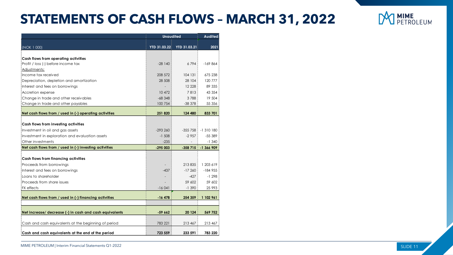## **STATEMENTS OF CASH FLOWS – MARCH 31, 2022**

|                                                                             | <b>Unaudited</b> | <b>Audited</b>            |                          |
|-----------------------------------------------------------------------------|------------------|---------------------------|--------------------------|
|                                                                             |                  |                           |                          |
| (NOK 1 000)                                                                 |                  | YTD 31.03.22 YTD 31.03.21 | 2021                     |
|                                                                             |                  |                           |                          |
| Cash flows from operating activities<br>Profit / loss (-) before income tax | $-28140$         | 6794                      | $-169864$                |
| Adjustments:                                                                |                  |                           |                          |
| Income tax received                                                         | 208 572          | 104 131                   | 675 238                  |
| Depreciation, depletion and amortization                                    | 28 508           | 28 104                    | 120 777                  |
| Interest and fees on borrowings                                             |                  | 12 2 2 8                  | 89 335                   |
| Accretion expense                                                           | 10 472           | 7813                      | 43 3 5 4                 |
| Change in trade and other receivables                                       | $-68348$         | 3788                      | 19 504                   |
| Change in trade and other payables                                          | 100 754          | $-38378$                  | 55 356                   |
|                                                                             |                  |                           |                          |
| Net cash flows from / used in (-) operating activities                      | 251 820          | 124 480                   | 833 701                  |
|                                                                             |                  |                           |                          |
| Cash flows from investing activities                                        |                  |                           |                          |
| Investment in oil and gas assets                                            | $-293260$        |                           | $-355758$ $\pm 1310180$  |
| Investment in exploration and evaluation assets                             | $-1,508$         | $-2957$                   | $-55389$                 |
| Other investments                                                           | $-235$           |                           | $-1340$                  |
| Net cash flows from / used in (-) investing activities                      | $-295003$        | $-358715$                 | $\frac{1}{2}$ -1 366 909 |
| Cash flows from financing activities                                        |                  |                           |                          |
| Proceeds from borrowings                                                    |                  | 213835                    | 1 203 619                |
| Interest and fees on borrowings                                             | $-437$           | $-17260$                  | $-184955$                |
| Loans to shareholder                                                        |                  | $-427$                    | $-1298$                  |
| Proceeds from share issues                                                  |                  | 59 602                    | 59 602                   |
| FX effects                                                                  | -16 041          | $-1390$                   | 25 993                   |
|                                                                             |                  |                           |                          |
| Net cash flows from / used in (-) financing activities                      | $-16478$         | 254 359                   | 1 102 961                |
|                                                                             |                  |                           |                          |
| Net increase/ decrease (-) in cash and cash equivalents                     | -59 662          | 20 124                    | 569 752                  |
|                                                                             |                  |                           |                          |
| Cash and cash equivalents at the beginning of period                        | 783 221          | 213 467                   | 213 467                  |
| Cash and cash equivalents at the end of the period                          | 723 559          | 233 591                   | 783 220                  |